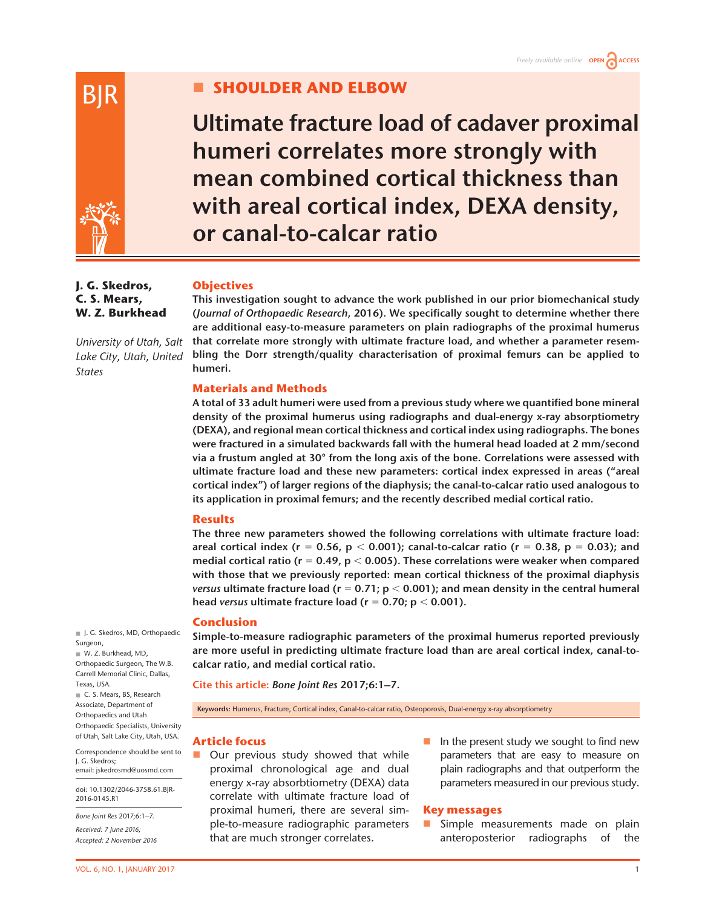# **BIR**

# **Shoulder and elbow**

**Ultimate fracture load of cadaver proximal humeri correlates more strongly with mean combined cortical thickness than with areal cortical index, DEXA density, or canal-to-calcar ratio**

# **J. G. Skedros, C. S. Mears, W. Z. Burkhead**

*University of Utah, Salt Lake City, Utah, United States*

**This investigation sought to advance the work published in our prior biomechanical study (***Journal of Orthopaedic Research***, 2016). We specifically sought to determine whether there are additional easy-to-measure parameters on plain radiographs of the proximal humerus that correlate more strongly with ultimate fracture load, and whether a parameter resembling the Dorr strength/quality characterisation of proximal femurs can be applied to humeri.**

# **Materials and Methods**

**A total of 33 adult humeri were used from a previous study where we quantified bone mineral density of the proximal humerus using radiographs and dual-energy x-ray absorptiometry (DEXA), and regional mean cortical thickness and cortical index using radiographs. The bones were fractured in a simulated backwards fall with the humeral head loaded at 2 mm/second via a frustum angled at 30° from the long axis of the bone. Correlations were assessed with ultimate fracture load and these new parameters: cortical index expressed in areas ("areal cortical index") of larger regions of the diaphysis; the canal-to-calcar ratio used analogous to its application in proximal femurs; and the recently described medial cortical ratio.**

# **Results**

**Objectives**

**The three new parameters showed the following correlations with ultimate fracture load: areal cortical index (r** = **0.56, p** < **0.001); canal-to-calcar ratio (r** = **0.38, p** = **0.03); and medial cortical ratio (r** = **0.49, p** < **0.005). These correlations were weaker when compared with those that we previously reported: mean cortical thickness of the proximal diaphysis**  *versus* **ultimate fracture load (r** = **0.71; p** < **0.001); and mean density in the central humeral head** *versus* **ultimate fracture load (r** = **0.70; p** < **0.001).**

# **Conclusion**

**Simple-to-measure radiographic parameters of the proximal humerus reported previously are more useful in predicting ultimate fracture load than are areal cortical index, canal-tocalcar ratio, and medial cortical ratio.**

**Cite this article:** *Bone Joint Res* **2017;6:1–7.**

**Keywords:** Humerus, Fracture, Cortical index, Canal-to-calcar ratio, Osteoporosis, Dual-energy x-ray absorptiometry

# **Article focus**

- **D** Our previous study showed that while proximal chronological age and dual energy x-ray absorbtiometry (DEXA) data correlate with ultimate fracture load of proximal humeri, there are several simple-to-measure radiographic parameters that are much stronger correlates.
- In the present study we sought to find new parameters that are easy to measure on plain radiographs and that outperform the parameters measured in our previous study.

# **Key messages**

**Simple measurements made on plain** anteroposterior radiographs of the

 J. G. Skedros, MD, Orthopaedic Surgeon, W. Z. Burkhead, MD. Orthopaedic Surgeon, The W.B. Carrell Memorial Clinic, Dallas, Texas, USA. C. S. Mears, BS, Research Associate, Department of Orthopaedics and Utah Orthopaedic Specialists, University of Utah, Salt Lake City, Utah, USA.

Correspondence should be sent to J. G. Skedros; email: jskedrosmd@uosmd.com

doi: 10.1302/2046-3758.61.BJR-2016-0145.R1

*Bone Joint Res* 2017;6:1–7. *Received: 7 June 2016; Accepted: 2 November 2016*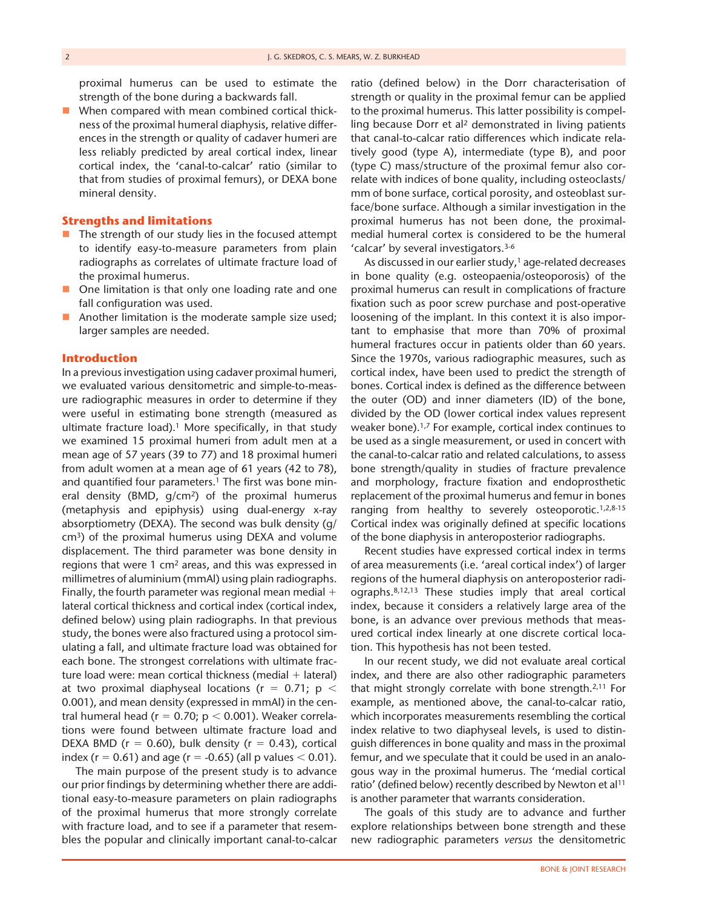proximal humerus can be used to estimate the strength of the bone during a backwards fall.

When compared with mean combined cortical thickness of the proximal humeral diaphysis, relative differences in the strength or quality of cadaver humeri are less reliably predicted by areal cortical index, linear cortical index, the 'canal-to-calcar' ratio (similar to that from studies of proximal femurs), or DEXA bone mineral density.

### **Strengths and limitations**

- $\blacksquare$  The strength of our study lies in the focused attempt to identify easy-to-measure parameters from plain radiographs as correlates of ultimate fracture load of the proximal humerus.
- One limitation is that only one loading rate and one fall configuration was used.
- **Another limitation is the moderate sample size used:** larger samples are needed.

### **Introduction**

In a previous investigation using cadaver proximal humeri, we evaluated various densitometric and simple-to-measure radiographic measures in order to determine if they were useful in estimating bone strength (measured as ultimate fracture load).<sup>1</sup> More specifically, in that study we examined 15 proximal humeri from adult men at a mean age of 57 years (39 to 77) and 18 proximal humeri from adult women at a mean age of 61 years (42 to 78), and quantified four parameters.<sup>1</sup> The first was bone mineral density (BMD,  $q/cm^2$ ) of the proximal humerus (metaphysis and epiphysis) using dual-energy x-ray absorptiometry (DEXA). The second was bulk density (g/ cm3) of the proximal humerus using DEXA and volume displacement. The third parameter was bone density in regions that were 1 cm2 areas, and this was expressed in millimetres of aluminium (mmAl) using plain radiographs. Finally, the fourth parameter was regional mean medial  $+$ lateral cortical thickness and cortical index (cortical index, defined below) using plain radiographs. In that previous study, the bones were also fractured using a protocol simulating a fall, and ultimate fracture load was obtained for each bone. The strongest correlations with ultimate fracture load were: mean cortical thickness (medial + lateral) at two proximal diaphyseal locations ( $r = 0.71$ ; p < 0.001), and mean density (expressed in mmAl) in the central humeral head ( $r = 0.70$ ;  $p < 0.001$ ). Weaker correlations were found between ultimate fracture load and DEXA BMD ( $r = 0.60$ ), bulk density ( $r = 0.43$ ), cortical index ( $r = 0.61$ ) and age ( $r = -0.65$ ) (all p values  $< 0.01$ ).

The main purpose of the present study is to advance our prior findings by determining whether there are additional easy-to-measure parameters on plain radiographs of the proximal humerus that more strongly correlate with fracture load, and to see if a parameter that resembles the popular and clinically important canal-to-calcar

ratio (defined below) in the Dorr characterisation of strength or quality in the proximal femur can be applied to the proximal humerus. This latter possibility is compelling because Dorr et al<sup>2</sup> demonstrated in living patients that canal-to-calcar ratio differences which indicate relatively good (type A), intermediate (type B), and poor (type C) mass/structure of the proximal femur also correlate with indices of bone quality, including osteoclasts/ mm of bone surface, cortical porosity, and osteoblast surface/bone surface. Although a similar investigation in the proximal humerus has not been done, the proximalmedial humeral cortex is considered to be the humeral 'calcar' by several investigators.3-6

As discussed in our earlier study, $1$  age-related decreases in bone quality (e.g. osteopaenia/osteoporosis) of the proximal humerus can result in complications of fracture fixation such as poor screw purchase and post-operative loosening of the implant. In this context it is also important to emphasise that more than 70% of proximal humeral fractures occur in patients older than 60 years. Since the 1970s, various radiographic measures, such as cortical index, have been used to predict the strength of bones. Cortical index is defined as the difference between the outer (OD) and inner diameters (ID) of the bone, divided by the OD (lower cortical index values represent weaker bone).1,7 For example, cortical index continues to be used as a single measurement, or used in concert with the canal-to-calcar ratio and related calculations, to assess bone strength/quality in studies of fracture prevalence and morphology, fracture fixation and endoprosthetic replacement of the proximal humerus and femur in bones ranging from healthy to severely osteoporotic.<sup>1,2,8-15</sup> Cortical index was originally defined at specific locations of the bone diaphysis in anteroposterior radiographs.

Recent studies have expressed cortical index in terms of area measurements (i.e. 'areal cortical index') of larger regions of the humeral diaphysis on anteroposterior radiographs.8,12,13 These studies imply that areal cortical index, because it considers a relatively large area of the bone, is an advance over previous methods that measured cortical index linearly at one discrete cortical location. This hypothesis has not been tested.

In our recent study, we did not evaluate areal cortical index, and there are also other radiographic parameters that might strongly correlate with bone strength.2,11 For example, as mentioned above, the canal-to-calcar ratio, which incorporates measurements resembling the cortical index relative to two diaphyseal levels, is used to distinguish differences in bone quality and mass in the proximal femur, and we speculate that it could be used in an analogous way in the proximal humerus. The 'medial cortical ratio' (defined below) recently described by Newton et al<sup>11</sup> is another parameter that warrants consideration.

The goals of this study are to advance and further explore relationships between bone strength and these new radiographic parameters *versus* the densitometric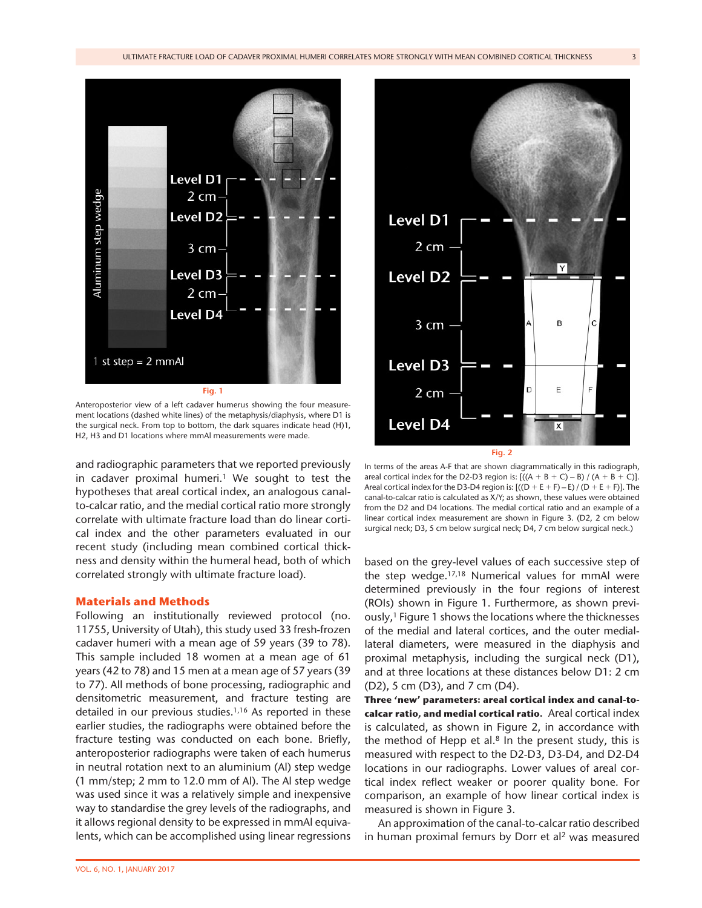

Anteroposterior view of a left cadaver humerus showing the four measurement locations (dashed white lines) of the metaphysis/diaphysis, where D1 is the surgical neck. From top to bottom, the dark squares indicate head (H)1, H2, H3 and D1 locations where mmAl measurements were made.

and radiographic parameters that we reported previously in cadaver proximal humeri.<sup>1</sup> We sought to test the hypotheses that areal cortical index, an analogous canalto-calcar ratio, and the medial cortical ratio more strongly correlate with ultimate fracture load than do linear cortical index and the other parameters evaluated in our recent study (including mean combined cortical thickness and density within the humeral head, both of which correlated strongly with ultimate fracture load).

### **Materials and Methods**

Following an institutionally reviewed protocol (no. 11755, University of Utah), this study used 33 fresh-frozen cadaver humeri with a mean age of 59 years (39 to 78). This sample included 18 women at a mean age of 61 years (42 to 78) and 15 men at a mean age of 57 years (39 to 77). All methods of bone processing, radiographic and densitometric measurement, and fracture testing are detailed in our previous studies.1,16 As reported in these earlier studies, the radiographs were obtained before the fracture testing was conducted on each bone. Briefly, anteroposterior radiographs were taken of each humerus in neutral rotation next to an aluminium (Al) step wedge (1 mm/step; 2 mm to 12.0 mm of Al). The Al step wedge was used since it was a relatively simple and inexpensive way to standardise the grey levels of the radiographs, and it allows regional density to be expressed in mmAl equivalents, which can be accomplished using linear regressions



In terms of the areas A-F that are shown diagrammatically in this radiograph, areal cortical index for the D2-D3 region is:  $[((A + B + C) - B) / (A + B + C)].$ Areal cortical index for the D3-D4 region is:  $[((D + E + F) - E) / (D + E + F)]$ . The canal-to-calcar ratio is calculated as X/Y; as shown, these values were obtained from the D2 and D4 locations. The medial cortical ratio and an example of a linear cortical index measurement are shown in Figure 3. (D2, 2 cm below surgical neck; D3, 5 cm below surgical neck; D4, 7 cm below surgical neck.)

based on the grey-level values of each successive step of the step wedge.17,18 Numerical values for mmAl were determined previously in the four regions of interest (ROIs) shown in Figure 1. Furthermore, as shown previously,1 Figure 1 shows the locations where the thicknesses of the medial and lateral cortices, and the outer mediallateral diameters, were measured in the diaphysis and proximal metaphysis, including the surgical neck (D1), and at three locations at these distances below D1: 2 cm (D2), 5 cm (D3), and 7 cm (D4).

**Three 'new' parameters: areal cortical index and canal-tocalcar ratio, and medial cortical ratio.** Areal cortical index is calculated, as shown in Figure 2, in accordance with the method of Hepp et al. $8$  In the present study, this is measured with respect to the D2-D3, D3-D4, and D2-D4 locations in our radiographs. Lower values of areal cortical index reflect weaker or poorer quality bone. For comparison, an example of how linear cortical index is measured is shown in Figure 3.

An approximation of the canal-to-calcar ratio described in human proximal femurs by Dorr et al<sup>2</sup> was measured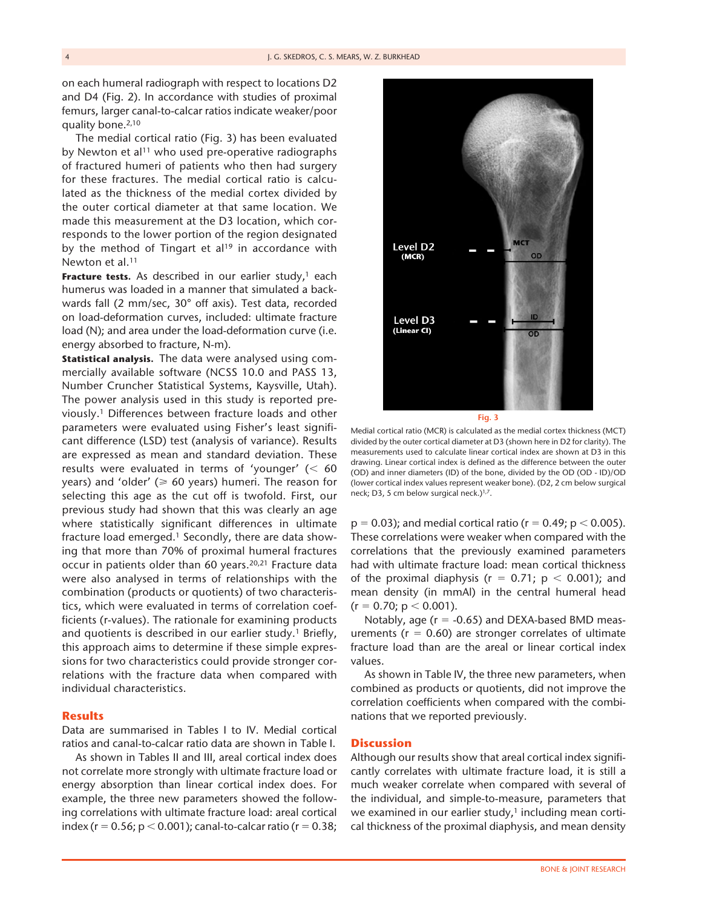on each humeral radiograph with respect to locations D2 and D4 (Fig. 2). In accordance with studies of proximal femurs, larger canal-to-calcar ratios indicate weaker/poor quality bone.2,10

The medial cortical ratio (Fig. 3) has been evaluated by Newton et al<sup>11</sup> who used pre-operative radiographs of fractured humeri of patients who then had surgery for these fractures. The medial cortical ratio is calculated as the thickness of the medial cortex divided by the outer cortical diameter at that same location. We made this measurement at the D3 location, which corresponds to the lower portion of the region designated by the method of Tingart et  $al^{19}$  in accordance with Newton et al.<sup>11</sup>

**Fracture tests.** As described in our earlier study,<sup>1</sup> each humerus was loaded in a manner that simulated a backwards fall (2 mm/sec, 30° off axis). Test data, recorded on load-deformation curves, included: ultimate fracture load (N); and area under the load-deformation curve (i.e. energy absorbed to fracture, N-m).

**Statistical analysis.** The data were analysed using commercially available software (NCSS 10.0 and PASS 13, Number Cruncher Statistical Systems, Kaysville, Utah). The power analysis used in this study is reported previously.1 Differences between fracture loads and other parameters were evaluated using Fisher's least significant difference (LSD) test (analysis of variance). Results are expressed as mean and standard deviation. These results were evaluated in terms of 'younger' (< 60 years) and 'older' ( $\geq 60$  years) humeri. The reason for selecting this age as the cut off is twofold. First, our previous study had shown that this was clearly an age where statistically significant differences in ultimate fracture load emerged.<sup>1</sup> Secondly, there are data showing that more than 70% of proximal humeral fractures occur in patients older than 60 years.20,21 Fracture data were also analysed in terms of relationships with the combination (products or quotients) of two characteristics, which were evaluated in terms of correlation coefficients (r-values). The rationale for examining products and quotients is described in our earlier study.<sup>1</sup> Briefly, this approach aims to determine if these simple expressions for two characteristics could provide stronger correlations with the fracture data when compared with individual characteristics.

### **Results**

Data are summarised in Tables I to IV. Medial cortical ratios and canal-to-calcar ratio data are shown in Table I.

As shown in Tables II and III, areal cortical index does not correlate more strongly with ultimate fracture load or energy absorption than linear cortical index does. For example, the three new parameters showed the following correlations with ultimate fracture load: areal cortical index ( $r = 0.56$ ;  $p < 0.001$ ); canal-to-calcar ratio ( $r = 0.38$ ;



Medial cortical ratio (MCR) is calculated as the medial cortex thickness (MCT) divided by the outer cortical diameter at D3 (shown here in D2 for clarity). The measurements used to calculate linear cortical index are shown at D3 in this drawing. Linear cortical index is defined as the difference between the outer (OD) and inner diameters (ID) of the bone, divided by the OD (OD - ID)/OD (lower cortical index values represent weaker bone). (D2, 2 cm below surgical neck; D3, 5 cm below surgical neck.)<sup>1,7</sup>.

 $p = 0.03$ ); and medial cortical ratio ( $r = 0.49$ ;  $p < 0.005$ ). These correlations were weaker when compared with the correlations that the previously examined parameters had with ultimate fracture load: mean cortical thickness of the proximal diaphysis ( $r = 0.71$ ;  $p < 0.001$ ); and mean density (in mmAl) in the central humeral head  $(r = 0.70; p < 0.001)$ .

Notably, age ( $r = -0.65$ ) and DEXA-based BMD measurements ( $r = 0.60$ ) are stronger correlates of ultimate fracture load than are the areal or linear cortical index values.

As shown in Table IV, the three new parameters, when combined as products or quotients, did not improve the correlation coefficients when compared with the combinations that we reported previously.

### **Discussion**

Although our results show that areal cortical index significantly correlates with ultimate fracture load, it is still a much weaker correlate when compared with several of the individual, and simple-to-measure, parameters that we examined in our earlier study, $1$  including mean cortical thickness of the proximal diaphysis, and mean density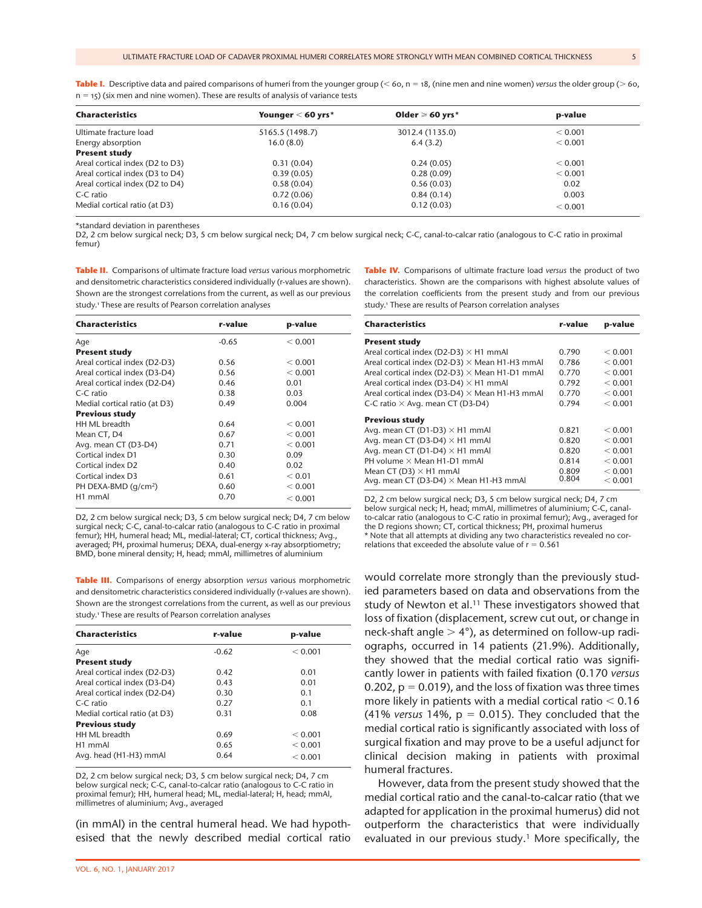| <b>Characteristics</b>          | Younger $<$ 60 yrs $*$ | Older $\geq 60$ yrs * | p-value |
|---------------------------------|------------------------|-----------------------|---------|
| Ultimate fracture load          | 5165.5 (1498.7)        | 3012.4 (1135.0)       | < 0.001 |
| Energy absorption               | 16.0(8.0)              | 6.4(3.2)              | < 0.001 |
| <b>Present study</b>            |                        |                       |         |
| Areal cortical index (D2 to D3) | 0.31(0.04)             | 0.24(0.05)            | < 0.001 |
| Areal cortical index (D3 to D4) | 0.39(0.05)             | 0.28(0.09)            | < 0.001 |
| Areal cortical index (D2 to D4) | 0.58(0.04)             | 0.56(0.03)            | 0.02    |
| C-C ratio                       | 0.72(0.06)             | 0.84(0.14)            | 0.003   |
| Medial cortical ratio (at D3)   | 0.16(0.04)             | 0.12(0.03)            | < 0.001 |

**Table I.** Descriptive data and paired comparisons of humeri from the younger group (< 60, n = 18, (nine men and nine women) *versus* the older group (> 60,  $n = 15$ ) (six men and nine women). These are results of analysis of variance tests

\*standard deviation in parentheses

D2, 2 cm below surgical neck; D3, 5 cm below surgical neck; D4, 7 cm below surgical neck; C-C, canal-to-calcar ratio (analogous to C-C ratio in proximal femur)

**Table II.** Comparisons of ultimate fracture load *versus* various morphometric and densitometric characteristics considered individually (r-values are shown). Shown are the strongest correlations from the current, as well as our previous study.1 These are results of Pearson correlation analyses

| <b>Characteristics</b>        | r-value | p-value |  |
|-------------------------------|---------|---------|--|
| Age                           | $-0.65$ | < 0.001 |  |
| <b>Present study</b>          |         |         |  |
| Areal cortical index (D2-D3)  | 0.56    | < 0.001 |  |
| Areal cortical index (D3-D4)  | 0.56    | < 0.001 |  |
| Areal cortical index (D2-D4)  | 0.46    | 0.01    |  |
| C-C ratio                     | 0.38    | 0.03    |  |
| Medial cortical ratio (at D3) | 0.49    | 0.004   |  |
| <b>Previous study</b>         |         |         |  |
| HH ML breadth                 | 0.64    | < 0.001 |  |
| Mean CT, D4                   | 0.67    | < 0.001 |  |
| Avg. mean CT (D3-D4)          | 0.71    | < 0.001 |  |
| Cortical index D1             | 0.30    | 0.09    |  |
| Cortical index D2             | 0.40    | 0.02    |  |
| Cortical index D3             | 0.61    | < 0.01  |  |
| PH DEXA-BMD ( $q/cm^2$ )      | 0.60    | < 0.001 |  |
| H <sub>1</sub> mmAl           | 0.70    | < 0.001 |  |

D2, 2 cm below surgical neck; D3, 5 cm below surgical neck; D4, 7 cm below surgical neck; C-C, canal-to-calcar ratio (analogous to C-C ratio in proximal femur); HH, humeral head; ML, medial-lateral; CT, cortical thickness; Avg., averaged; PH, proximal humerus; DEXA, dual-energy x-ray absorptiometry; BMD, bone mineral density; H, head; mmAl, millimetres of aluminium

**Table III.** Comparisons of energy absorption *versus* various morphometric and densitometric characteristics considered individually (r-values are shown). Shown are the strongest correlations from the current, as well as our previous study.1 These are results of Pearson correlation analyses

| <b>Characteristics</b>          | r-value | p-value |  |
|---------------------------------|---------|---------|--|
| Age                             | $-0.62$ | < 0.001 |  |
| <b>Present study</b>            |         |         |  |
| Areal cortical index (D2-D3)    | 0.42    | 0.01    |  |
| Areal cortical index (D3-D4)    | 0.43    | 0.01    |  |
| Areal cortical index (D2-D4)    | 0.30    | 0.1     |  |
| C-C ratio                       | 0.27    | 0.1     |  |
| Medial cortical ratio (at D3)   | 0.31    | 0.08    |  |
| <b>Previous study</b>           |         |         |  |
| HH ML breadth                   | 0.69    | < 0.001 |  |
| H <sub>1</sub> mm <sub>Al</sub> | 0.65    | < 0.001 |  |
| Avg. head (H1-H3) mmAl          | 0.64    | < 0.001 |  |

D2, 2 cm below surgical neck; D3, 5 cm below surgical neck; D4, 7 cm below surgical neck; C-C, canal-to-calcar ratio (analogous to C-C ratio in proximal femur); HH, humeral head; ML, medial-lateral; H, head; mmAl, millimetres of aluminium; Avg., averaged

(in mmAl) in the central humeral head. We had hypothesised that the newly described medial cortical ratio **Table IV.** Comparisons of ultimate fracture load *versus* the product of two characteristics. Shown are the comparisons with highest absolute values of the correlation coefficients from the present study and from our previous study.1 These are results of Pearson correlation analyses

| <b>Characteristics</b>                                    | r-value | p-value |
|-----------------------------------------------------------|---------|---------|
| <b>Present study</b>                                      |         |         |
| Areal cortical index (D2-D3) $\times$ H1 mmAl             | 0.790   | < 0.001 |
| Areal cortical index (D2-D3) × Mean H1-H3 mmAl            | 0.786   | < 0.001 |
| Areal cortical index ( $D2-D3$ ) $\times$ Mean H1-D1 mmAl | 0.770   | < 0.001 |
| Areal cortical index (D3-D4) $\times$ H1 mmAl             | 0.792   | < 0.001 |
| Areal cortical index (D3-D4) $\times$ Mean H1-H3 mmAl     | 0.770   | < 0.001 |
| C-C ratio $\times$ Avg. mean CT (D3-D4)                   | 0.794   | < 0.001 |
| <b>Previous study</b>                                     |         |         |
| Avg. mean CT (D1-D3) $\times$ H1 mmAl                     | 0.821   | < 0.001 |
| Avg. mean CT (D3-D4) $\times$ H1 mmAl                     | 0.820   | < 0.001 |
| Avg. mean CT (D1-D4) $\times$ H1 mmAl                     | 0.820   | < 0.001 |
| PH volume $\times$ Mean H1-D1 mmAl                        | 0.814   | < 0.001 |
| Mean CT (D3) $\times$ H1 mmAl                             | 0.809   | < 0.001 |
| Avg. mean CT (D3-D4) $\times$ Mean H1-H3 mmAl             | 0.804   | < 0.001 |

D2, 2 cm below surgical neck; D3, 5 cm below surgical neck; D4, 7 cm below surgical neck; H, head; mmAl, millimetres of aluminium; C-C, canalto-calcar ratio (analogous to C-C ratio in proximal femur); Avg., averaged for the D regions shown; CT, cortical thickness; PH, proximal humerus \* Note that all attempts at dividing any two characteristics revealed no correlations that exceeded the absolute value of  $r = 0.561$ 

would correlate more strongly than the previously studied parameters based on data and observations from the study of Newton et al.<sup>11</sup> These investigators showed that loss of fixation (displacement, screw cut out, or change in neck-shaft angle  $> 4^{\circ}$ ), as determined on follow-up radiographs, occurred in 14 patients (21.9%). Additionally, they showed that the medial cortical ratio was significantly lower in patients with failed fixation (0.170 *versus* 0.202,  $p = 0.019$ ), and the loss of fixation was three times more likely in patients with a medial cortical ratio  $< 0.16$ (41% *versus* 14%,  $p = 0.015$ ). They concluded that the medial cortical ratio is significantly associated with loss of surgical fixation and may prove to be a useful adjunct for clinical decision making in patients with proximal humeral fractures.

However, data from the present study showed that the medial cortical ratio and the canal-to-calcar ratio (that we adapted for application in the proximal humerus) did not outperform the characteristics that were individually evaluated in our previous study.1 More specifically, the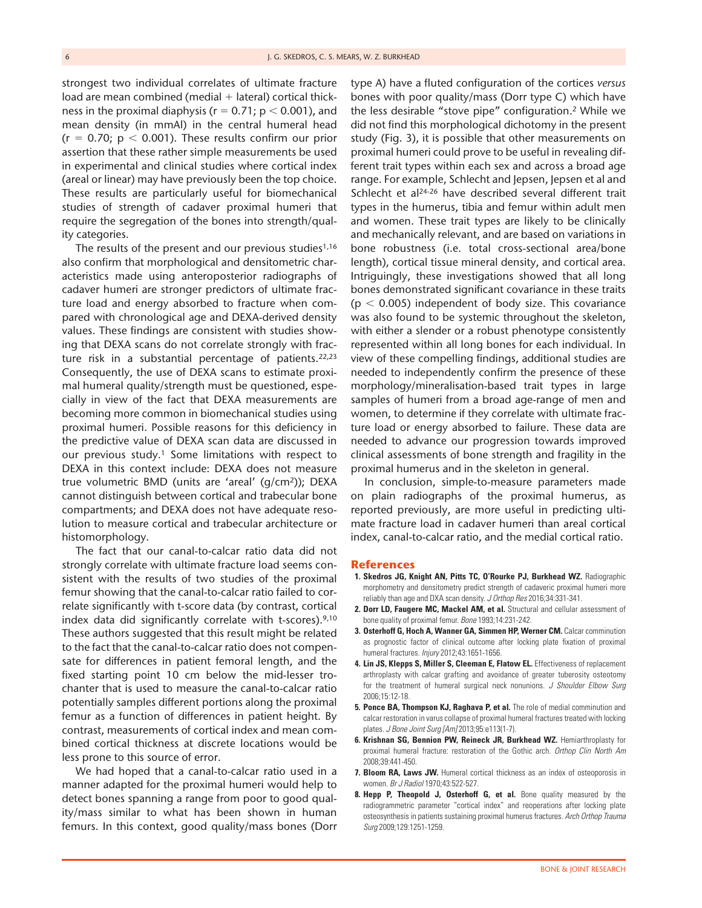strongest two individual correlates of ultimate fracture load are mean combined (medial  $+$  lateral) cortical thickness in the proximal diaphysis ( $r = 0.71$ ;  $p < 0.001$ ), and mean density (in mmAl) in the central humeral head  $(r = 0.70; p < 0.001)$ . These results confirm our prior assertion that these rather simple measurements be used in experimental and clinical studies where cortical index (areal or linear) may have previously been the top choice. These results are particularly useful for biomechanical studies of strength of cadaver proximal humeri that require the segregation of the bones into strength/quality categories.

The results of the present and our previous studies<sup>1,16</sup> also confirm that morphological and densitometric characteristics made using anteroposterior radiographs of cadaver humeri are stronger predictors of ultimate fracture load and energy absorbed to fracture when compared with chronological age and DEXA-derived density values. These findings are consistent with studies showing that DEXA scans do not correlate strongly with fracture risk in a substantial percentage of patients.<sup>22,23</sup> Consequently, the use of DEXA scans to estimate proximal humeral quality/strength must be questioned, especially in view of the fact that DEXA measurements are becoming more common in biomechanical studies using proximal humeri. Possible reasons for this deficiency in the predictive value of DEXA scan data are discussed in our previous study.<sup>1</sup> Some limitations with respect to DEXA in this context include: DEXA does not measure true volumetric BMD (units are 'areal' (g/cm2)); DEXA cannot distinguish between cortical and trabecular bone compartments; and DEXA does not have adequate resolution to measure cortical and trabecular architecture or histomorphology.

The fact that our canal-to-calcar ratio data did not strongly correlate with ultimate fracture load seems consistent with the results of two studies of the proximal femur showing that the canal-to-calcar ratio failed to correlate significantly with t-score data (by contrast, cortical index data did significantly correlate with t-scores). $9,10$ These authors suggested that this result might be related to the fact that the canal-to-calcar ratio does not compensate for differences in patient femoral length, and the fixed starting point 10 cm below the mid-lesser trochanter that is used to measure the canal-to-calcar ratio potentially samples different portions along the proximal femur as a function of differences in patient height. By contrast, measurements of cortical index and mean combined cortical thickness at discrete locations would be less prone to this source of error.

We had hoped that a canal-to-calcar ratio used in a manner adapted for the proximal humeri would help to detect bones spanning a range from poor to good quality/mass similar to what has been shown in human femurs. In this context, good quality/mass bones (Dorr

type A) have a fluted configuration of the cortices *versus* bones with poor quality/mass (Dorr type C) which have the less desirable "stove pipe" configuration.2 While we did not find this morphological dichotomy in the present study (Fig. 3), it is possible that other measurements on proximal humeri could prove to be useful in revealing different trait types within each sex and across a broad age range. For example, Schlecht and Jepsen, Jepsen et al and Schlecht et al<sup>24-26</sup> have described several different trait types in the humerus, tibia and femur within adult men and women. These trait types are likely to be clinically and mechanically relevant, and are based on variations in bone robustness (i.e. total cross-sectional area/bone length), cortical tissue mineral density, and cortical area. Intriguingly, these investigations showed that all long bones demonstrated significant covariance in these traits  $(p < 0.005)$  independent of body size. This covariance was also found to be systemic throughout the skeleton, with either a slender or a robust phenotype consistently represented within all long bones for each individual. In view of these compelling findings, additional studies are needed to independently confirm the presence of these morphology/mineralisation-based trait types in large samples of humeri from a broad age-range of men and women, to determine if they correlate with ultimate fracture load or energy absorbed to failure. These data are needed to advance our progression towards improved clinical assessments of bone strength and fragility in the proximal humerus and in the skeleton in general.

In conclusion, simple-to-measure parameters made on plain radiographs of the proximal humerus, as reported previously, are more useful in predicting ultimate fracture load in cadaver humeri than areal cortical index, canal-to-calcar ratio, and the medial cortical ratio.

### **References**

- **1. Skedros JG, Knight AN, Pitts TC, O'Rourke PJ, Burkhead WZ.** Radiographic morphometry and densitometry predict strength of cadaveric proximal humeri more reliably than age and DXA scan density. *J Orthop Res* 2016;34:331-341.
- **2. Dorr LD, Faugere MC, Mackel AM, et al.** Structural and cellular assessment of bone quality of proximal femur. *Bone* 1993;14:231-242.
- **3. Osterhoff G, Hoch A, Wanner GA, Simmen HP, Werner CM.** Calcar comminution as prognostic factor of clinical outcome after locking plate fixation of proximal humeral fractures. *Injury* 2012;43:1651-1656.
- **4. Lin JS, Klepps S, Miller S, Cleeman E, Flatow EL.** Effectiveness of replacement arthroplasty with calcar grafting and avoidance of greater tuberosity osteotomy for the treatment of humeral surgical neck nonunions. *J Shoulder Elbow Surg* 2006;15:12-18.
- **5. Ponce BA, Thompson KJ, Raghava P, et al.** The role of medial comminution and calcar restoration in varus collapse of proximal humeral fractures treated with locking plates. *J Bone Joint Surg [Am]* 2013;95:e113(1-7).
- **6. Krishnan SG, Bennion PW, Reineck JR, Burkhead WZ.** Hemiarthroplasty for proximal humeral fracture: restoration of the Gothic arch. *Orthop Clin North Am* 2008;39:441-450.
- **7. Bloom RA, Laws JW.** Humeral cortical thickness as an index of osteoporosis in women. *Br J Radiol* 1970;43:522-527.
- **8. Hepp P, Theopold J, Osterhoff G, et al.** Bone quality measured by the radiogrammetric parameter "cortical index" and reoperations after locking plate osteosynthesis in patients sustaining proximal humerus fractures. *Arch Orthop Trauma Surg* 2009;129:1251-1259.